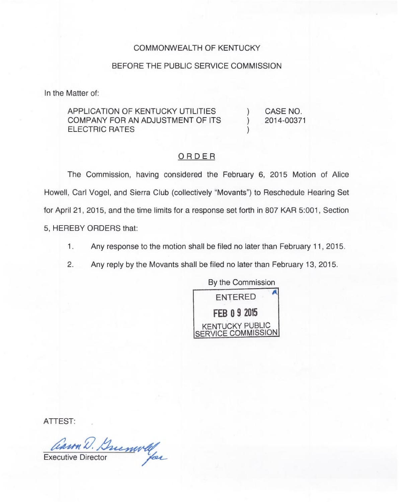## COMMONWEALTH OF KENTUCKY

## BEFORE THE PUBLIC SERVICE COMMISSION

In the Matter of:

APPLICATION OF KENTUCKY UTILITIES COMPANY FOR AN ADJUSTMENT OF ITS ELECTRIC RATES ) CASE NO. ) 2014-00371 )

## ORDER

The Commission, having considered the February 6, 2015 Motion of Alice Howell, Carl Vogel, and Sierra Club (collectively "Movants") to Reschedule Hearing Set for April 21, 2015, and the time limits for a response set forth in 807 KAR 5:001, Section 5, HEREBY ORDERS that:

- $1.$ Any response to the motion shall be filed no later than February 11, 2015.
- 2. Any reply by the Movants shall be filed no later than February 13, 2015.



ATTEST:

Carn D. Buenwell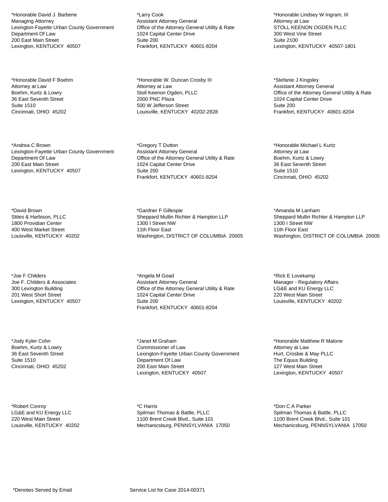\*Honorable David J. Barberie Managing Attorney Lexington-Fayette Urban County Government Department Of Law 200 East Main Street Lexington, KENTUCKY 40507

\*Honorable David F Boehm Attorney at Law Boehm, Kurtz & Lowry 36 East Seventh Street Suite 1510 Cincinnati, OHIO 45202

\*Andrea C Brown Lexington-Fayette Urban County Government Department Of Law 200 East Main Street Lexington, KENTUCKY 40507

\*David Brown Stites & Harbison, PLLC 1800 Providian Center 400 West Market Street Louisville, KENTUCKY 40202

\*Joe F Childers Joe F. Childers & Associates 300 Lexington Building 201 West Short Street Lexington, KENTUCKY 40507

\*Jody Kyler Cohn Boehm, Kurtz & Lowry 36 East Seventh Street Suite 1510 Cincinnati, OHIO 45202

\*Robert Conroy LG&E and KU Energy LLC 220 West Main Street Louisville, KENTUCKY 40202

\*Larry Cook Assistant Attorney General Office of the Attorney General Utility & Rate 1024 Capital Center Drive Suite 200 Frankfort, KENTUCKY 40601-8204

\*Honorable W. Duncan Crosby III Attorney at Law Stoll Keenon Ogden, PLLC 2000 PNC Plaza 500 W Jefferson Street Louisville, KENTUCKY 40202-2828

\*Gregory T Dutton Assistant Attorney General Office of the Attorney General Utility & Rate 1024 Capital Center Drive Suite 200 Frankfort, KENTUCKY 40601-8204

\*Gardner F Gillespie Sheppard Mullin Richter & Hampton LLP 1300 I Street NW 11th Floor East Washington, DISTRICT OF COLUMBIA 20005

\*Angela M Goad Assistant Attorney General Office of the Attorney General Utility & Rate 1024 Capital Center Drive Suite 200 Frankfort, KENTUCKY 40601-8204

\*Janet M Graham Commissioner of Law Lexington-Fayette Urban County Government Department Of Law 200 East Main Street Lexington, KENTUCKY 40507

\*C Harris Spilman Thomas & Battle, PLLC 1100 Brent Creek Blvd., Suite 101 Mechanicsburg, PENNSYLVANIA 17050

\*Honorable Lindsey W Ingram, III Attorney at Law STOLL KEENON OGDEN PLLC 300 West Vine Street Suite 2100 Lexington, KENTUCKY 40507-1801

\*Stefanie J Kingsley Assistant Attorney General Office of the Attorney General Utility & Rate 1024 Capital Center Drive Suite 200 Frankfort, KENTUCKY 40601-8204

\*Honorable Michael L Kurtz Attorney at Law Boehm, Kurtz & Lowry 36 East Seventh Street Suite 1510 Cincinnati, OHIO 45202

\*Amanda M Lanham Sheppard Mullin Richter & Hampton LLP 1300 I Street NW 11th Floor East Washington, DISTRICT OF COLUMBIA 20005

\*Rick E Lovekamp Manager - Regulatory Affairs LG&E and KU Energy LLC 220 West Main Street Louisville, KENTUCKY 40202

\*Honorable Matthew R Malone Attorney at Law Hurt, Crosbie & May PLLC The Equus Building 127 West Main Street Lexington, KENTUCKY 40507

\*Don C A Parker Spilman Thomas & Battle, PLLC 1100 Brent Creek Blvd., Suite 101 Mechanicsburg, PENNSYLVANIA 17050